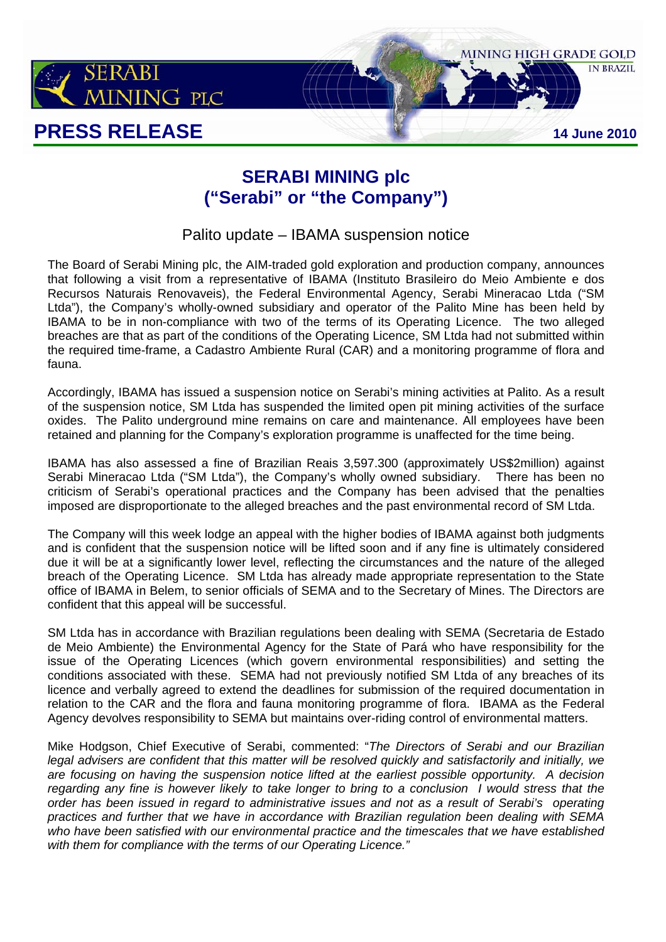

## **SERABI MINING plc ("Serabi" or "the Company")**

Palito update – IBAMA suspension notice

The Board of Serabi Mining plc, the AIM-traded gold exploration and production company, announces that following a visit from a representative of IBAMA (Instituto Brasileiro do Meio Ambiente e dos Recursos Naturais Renovaveis), the Federal Environmental Agency, Serabi Mineracao Ltda ("SM Ltda"), the Company's wholly-owned subsidiary and operator of the Palito Mine has been held by IBAMA to be in non-compliance with two of the terms of its Operating Licence. The two alleged breaches are that as part of the conditions of the Operating Licence, SM Ltda had not submitted within the required time-frame, a Cadastro Ambiente Rural (CAR) and a monitoring programme of flora and fauna.

Accordingly, IBAMA has issued a suspension notice on Serabi's mining activities at Palito. As a result of the suspension notice, SM Ltda has suspended the limited open pit mining activities of the surface oxides. The Palito underground mine remains on care and maintenance. All employees have been retained and planning for the Company's exploration programme is unaffected for the time being.

IBAMA has also assessed a fine of Brazilian Reais 3,597.300 (approximately US\$2million) against Serabi Mineracao Ltda ("SM Ltda"), the Company's wholly owned subsidiary. There has been no criticism of Serabi's operational practices and the Company has been advised that the penalties imposed are disproportionate to the alleged breaches and the past environmental record of SM Ltda.

The Company will this week lodge an appeal with the higher bodies of IBAMA against both judgments and is confident that the suspension notice will be lifted soon and if any fine is ultimately considered due it will be at a significantly lower level, reflecting the circumstances and the nature of the alleged breach of the Operating Licence. SM Ltda has already made appropriate representation to the State office of IBAMA in Belem, to senior officials of SEMA and to the Secretary of Mines. The Directors are confident that this appeal will be successful.

SM Ltda has in accordance with Brazilian regulations been dealing with SEMA (Secretaria de Estado de Meio Ambiente) the Environmental Agency for the State of Pará who have responsibility for the issue of the Operating Licences (which govern environmental responsibilities) and setting the conditions associated with these. SEMA had not previously notified SM Ltda of any breaches of its licence and verbally agreed to extend the deadlines for submission of the required documentation in relation to the CAR and the flora and fauna monitoring programme of flora. IBAMA as the Federal Agency devolves responsibility to SEMA but maintains over-riding control of environmental matters.

Mike Hodgson, Chief Executive of Serabi, commented: "*The Directors of Serabi and our Brazilian legal advisers are confident that this matter will be resolved quickly and satisfactorily and initially, we are focusing on having the suspension notice lifted at the earliest possible opportunity. A decision regarding any fine is however likely to take longer to bring to a conclusion I would stress that the order has been issued in regard to administrative issues and not as a result of Serabi's operating practices and further that we have in accordance with Brazilian regulation been dealing with SEMA who have been satisfied with our environmental practice and the timescales that we have established with them for compliance with the terms of our Operating Licence."*